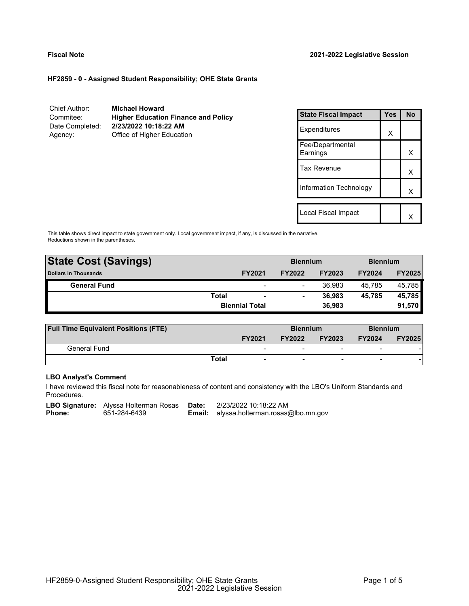#### **HF2859 - 0 - Assigned Student Responsibility; OHE State Grants**

Chief Author: **Michael Howard** Commitee: **Higher Education Finance and Policy** Date Completed: **2/23/2022 10:18:22 AM** Agency: Office of Higher Education

| <b>State Fiscal Impact</b>   | <b>Yes</b> | N٥ |
|------------------------------|------------|----|
| Expenditures                 | X          |    |
| Fee/Departmental<br>Earnings |            | x  |
| Tax Revenue                  |            | x  |
| Information Technology       |            | x  |
|                              |            |    |
| Local Fiscal Impact          |            |    |

This table shows direct impact to state government only. Local government impact, if any, is discussed in the narrative. Reductions shown in the parentheses.

| <b>State Cost (Savings)</b> |       |                          | <b>Biennium</b> |               |               | <b>Biennium</b> |  |
|-----------------------------|-------|--------------------------|-----------------|---------------|---------------|-----------------|--|
| <b>Dollars in Thousands</b> |       | <b>FY2021</b>            | <b>FY2022</b>   | <b>FY2023</b> | <b>FY2024</b> | <b>FY2025</b>   |  |
| <b>General Fund</b>         |       | $\overline{\phantom{0}}$ |                 | 36.983        | 45.785        | 45,785          |  |
|                             | Total | $\overline{\phantom{a}}$ |                 | 36.983        | 45.785        | 45,785          |  |
|                             |       | <b>Biennial Total</b>    |                 | 36.983        |               | 91,570          |  |
|                             |       |                          |                 |               |               |                 |  |

| <b>Full Time Equivalent Positions (FTE)</b> |       |               | <b>Biennium</b>                |                          | <b>Biennium</b>          |               |
|---------------------------------------------|-------|---------------|--------------------------------|--------------------------|--------------------------|---------------|
|                                             |       | <b>FY2021</b> | <b>FY2023</b><br><b>FY2022</b> |                          | <b>FY2024</b>            | <b>FY2025</b> |
| General Fund                                |       | -             | -                              | $\overline{\phantom{0}}$ | $\overline{\phantom{a}}$ |               |
|                                             | Total |               |                                |                          |                          |               |

# **LBO Analyst's Comment**

I have reviewed this fiscal note for reasonableness of content and consistency with the LBO's Uniform Standards and Procedures.

**LBO Signature:** Alyssa Holterman Rosas **Date:** 2/23/2022 10:18:22 AM<br>**Phone:** 651-284-6439 **Email:** alyssa.holterman.rosas

**Email:** alyssa.holterman.rosas@lbo.mn.gov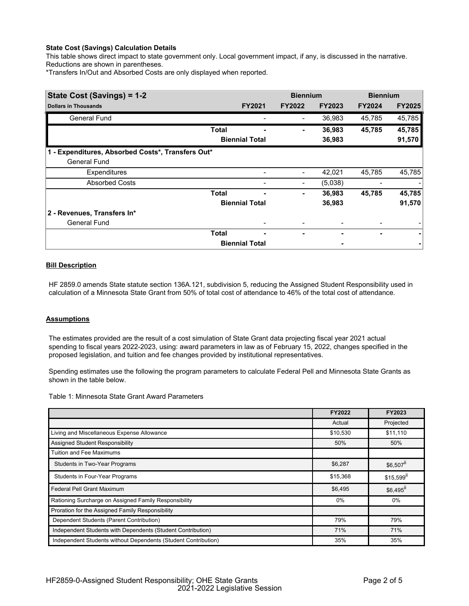## **State Cost (Savings) Calculation Details**

This table shows direct impact to state government only. Local government impact, if any, is discussed in the narrative. Reductions are shown in parentheses.

\*Transfers In/Out and Absorbed Costs are only displayed when reported.

| State Cost (Savings) = 1-2                        |              | <b>Biennium</b>       |               |               | <b>Biennium</b> |               |
|---------------------------------------------------|--------------|-----------------------|---------------|---------------|-----------------|---------------|
| <b>Dollars in Thousands</b>                       |              | <b>FY2021</b>         | <b>FY2022</b> | <b>FY2023</b> | <b>FY2024</b>   | <b>FY2025</b> |
| <b>General Fund</b>                               |              |                       |               | 36,983        | 45,785          | 45,785        |
|                                                   | <b>Total</b> |                       |               | 36,983        | 45,785          | 45,785        |
|                                                   |              | <b>Biennial Total</b> |               | 36,983        |                 | 91,570        |
| 1 - Expenditures, Absorbed Costs*, Transfers Out* |              |                       |               |               |                 |               |
| <b>General Fund</b>                               |              |                       |               |               |                 |               |
| Expenditures                                      |              |                       |               | 42,021        | 45,785          | 45,785        |
| <b>Absorbed Costs</b>                             |              |                       |               | (5,038)       |                 |               |
|                                                   | Total        | ۰                     | ٠             | 36,983        | 45,785          | 45,785        |
|                                                   |              | <b>Biennial Total</b> |               | 36,983        |                 | 91,570        |
| 2 - Revenues, Transfers In*                       |              |                       |               |               |                 |               |
| <b>General Fund</b>                               |              |                       |               |               |                 |               |
|                                                   | Total        | ٠                     |               |               |                 |               |
|                                                   |              | <b>Biennial Total</b> |               |               |                 |               |

# **Bill Description**

HF 2859.0 amends State statute section 136A.121, subdivision 5, reducing the Assigned Student Responsibility used in calculation of a Minnesota State Grant from 50% of total cost of attendance to 46% of the total cost of attendance.

#### **Assumptions**

The estimates provided are the result of a cost simulation of State Grant data projecting fiscal year 2021 actual spending to fiscal years 2022-2023, using: award parameters in law as of February 15, 2022, changes specified in the proposed legislation, and tuition and fee changes provided by institutional representatives.

Spending estimates use the following the program parameters to calculate Federal Pell and Minnesota State Grants as shown in the table below.

Table 1: Minnesota State Grant Award Parameters

|                                                                | FY2022   | FY2023                  |
|----------------------------------------------------------------|----------|-------------------------|
|                                                                | Actual   | Projected               |
| Living and Miscellaneous Expense Allowance                     | \$10,530 | \$11,110                |
| Assigned Student Responsibility                                | 50%      | 50%                     |
| <b>Tuition and Fee Maximums</b>                                |          |                         |
| <b>Students in Two-Year Programs</b>                           | \$6,287  | $$6,507$ <sup>ii</sup>  |
| Students in Four-Year Programs                                 | \$15,368 | $$15,599$ <sup>II</sup> |
| <b>Federal Pell Grant Maximum</b>                              | \$6,495  | \$6,495 <sup>ii</sup>   |
| Rationing Surcharge on Assigned Family Responsibility          | 0%       | 0%                      |
| Proration for the Assigned Family Responsibility               |          |                         |
| Dependent Students (Parent Contribution)                       | 79%      | 79%                     |
| Independent Students with Dependents (Student Contribution)    | 71%      | 71%                     |
| Independent Students without Dependents (Student Contribution) | 35%      | 35%                     |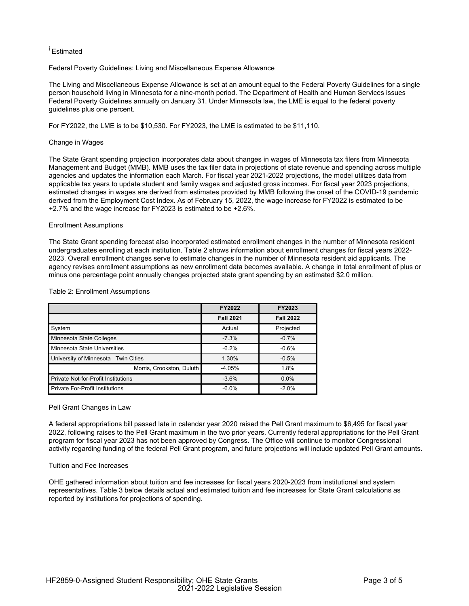# <sup>i</sup> Estimated

Federal Poverty Guidelines: Living and Miscellaneous Expense Allowance

The Living and Miscellaneous Expense Allowance is set at an amount equal to the Federal Poverty Guidelines for a single person household living in Minnesota for a nine-month period. The Department of Health and Human Services issues Federal Poverty Guidelines annually on January 31. Under Minnesota law, the LME is equal to the federal poverty guidelines plus one percent.

For FY2022, the LME is to be \$10,530. For FY2023, the LME is estimated to be \$11,110.

## Change in Wages

The State Grant spending projection incorporates data about changes in wages of Minnesota tax filers from Minnesota Management and Budget (MMB). MMB uses the tax filer data in projections of state revenue and spending across multiple agencies and updates the information each March. For fiscal year 2021-2022 projections, the model utilizes data from applicable tax years to update student and family wages and adjusted gross incomes. For fiscal year 2023 projections, estimated changes in wages are derived from estimates provided by MMB following the onset of the COVID-19 pandemic derived from the Employment Cost Index. As of February 15, 2022, the wage increase for FY2022 is estimated to be +2.7% and the wage increase for FY2023 is estimated to be +2.6%.

#### Enrollment Assumptions

The State Grant spending forecast also incorporated estimated enrollment changes in the number of Minnesota resident undergraduates enrolling at each institution. Table 2 shows information about enrollment changes for fiscal years 2022- 2023. Overall enrollment changes serve to estimate changes in the number of Minnesota resident aid applicants. The agency revises enrollment assumptions as new enrollment data becomes available. A change in total enrollment of plus or minus one percentage point annually changes projected state grant spending by an estimated \$2.0 million.

#### Table 2: Enrollment Assumptions

|                                            | FY2022           | FY2023           |
|--------------------------------------------|------------------|------------------|
|                                            | <b>Fall 2021</b> | <b>Fall 2022</b> |
| System                                     | Actual           | Projected        |
| Minnesota State Colleges                   | $-7.3%$          | $-0.7%$          |
| Minnesota State Universities               | $-6.2%$          | $-0.6%$          |
| University of Minnesota Twin Cities        | 1.30%            | $-0.5%$          |
| Morris, Crookston, Duluth                  | $-4.05%$         | 1.8%             |
| <b>Private Not-for-Profit Institutions</b> | $-3.6%$          | $0.0\%$          |
| <b>Private For-Profit Institutions</b>     | $-6.0%$          | $-2.0%$          |

#### Pell Grant Changes in Law

A federal appropriations bill passed late in calendar year 2020 raised the Pell Grant maximum to \$6,495 for fiscal year 2022, following raises to the Pell Grant maximum in the two prior years. Currently federal appropriations for the Pell Grant program for fiscal year 2023 has not been approved by Congress. The Office will continue to monitor Congressional activity regarding funding of the federal Pell Grant program, and future projections will include updated Pell Grant amounts.

#### Tuition and Fee Increases

OHE gathered information about tuition and fee increases for fiscal years 2020-2023 from institutional and system representatives. Table 3 below details actual and estimated tuition and fee increases for State Grant calculations as reported by institutions for projections of spending.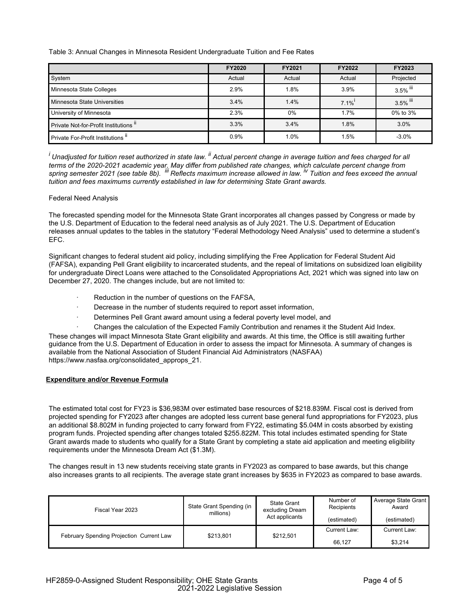Table 3: Annual Changes in Minnesota Resident Undergraduate Tuition and Fee Rates

|                                       | <b>FY2020</b> | FY2021 | FY2022  | FY2023    |
|---------------------------------------|---------------|--------|---------|-----------|
| System                                | Actual        | Actual | Actual  | Projected |
| Minnesota State Colleges              | 2.9%          | 1.8%   | 3.9%    | 3.5% lil  |
| Minnesota State Universities          | 3.4%          | 1.4%   | $7.1\%$ | 3.5% iii  |
| University of Minnesota               | 2.3%          | $0\%$  | 1.7%    | 0% to 3%  |
| Private Not-for-Profit Institutions " | 3.3%          | 3.4%   | 1.8%    | 3.0%      |
| Private For-Profit Institutions"      | 0.9%          | 1.0%   | 1.5%    | $-3.0\%$  |

*<sup>i</sup> Unadjusted for tuition reset authorized in state law. ii Actual percent change in average tuition and fees charged for all* terms of the 2020-2021 academic year. May differ from published rate changes, which calculate percent change from<br>spring semester 2021 (see table 8b). <sup>iii</sup> Reflects maximum increase allowed in law. <sup>iv</sup> Tuition and fees e *tuition and fees maximums currently established in law for determining State Grant awards.*

## Federal Need Analysis

The forecasted spending model for the Minnesota State Grant incorporates all changes passed by Congress or made by the U.S. Department of Education to the federal need analysis as of July 2021. The U.S. Department of Education releases annual updates to the tables in the statutory "Federal Methodology Need Analysis" used to determine a student's EFC.

Significant changes to federal student aid policy, including simplifying the Free Application for Federal Student Aid (FAFSA), expanding Pell Grant eligibility to incarcerated students, and the repeal of limitations on subsidized loan eligibility for undergraduate Direct Loans were attached to the Consolidated Appropriations Act, 2021 which was signed into law on December 27, 2020. The changes include, but are not limited to:

- Reduction in the number of questions on the FAFSA,
- Decrease in the number of students required to report asset information,
- Determines Pell Grant award amount using a federal poverty level model, and
- · Changes the calculation of the Expected Family Contribution and renames it the Student Aid Index.

These changes will impact Minnesota State Grant eligibility and awards. At this time, the Office is still awaiting further guidance from the U.S. Department of Education in order to assess the impact for Minnesota. A summary of changes is available from the National Association of Student Financial Aid Administrators (NASFAA) https://www.nasfaa.org/consolidated\_approps\_21.

#### **Expenditure and/or Revenue Formula**

The estimated total cost for FY23 is \$36,983M over estimated base resources of \$218.839M. Fiscal cost is derived from projected spending for FY2023 after changes are adopted less current base general fund appropriations for FY2023, plus an additional \$8.802M in funding projected to carry forward from FY22, estimating \$5.04M in costs absorbed by existing program funds. Projected spending after changes totaled \$255.822M. This total includes estimated spending for State Grant awards made to students who qualify for a State Grant by completing a state aid application and meeting eligibility requirements under the Minnesota Dream Act (\$1.3M).

The changes result in 13 new students receiving state grants in FY2023 as compared to base awards, but this change also increases grants to all recipients. The average state grant increases by \$635 in FY2023 as compared to base awards.

| Fiscal Year 2023                         | State Grant Spending (in<br>millions) | <b>State Grant</b><br>excluding Dream<br>Act applicants | Number of<br>Recipients<br>(estimated) | Average State Grant<br>Award<br>(estimated) |
|------------------------------------------|---------------------------------------|---------------------------------------------------------|----------------------------------------|---------------------------------------------|
| February Spending Projection Current Law | \$213,801                             | \$212.501                                               | Current Law:<br>66,127                 | Current Law:<br>\$3,214                     |